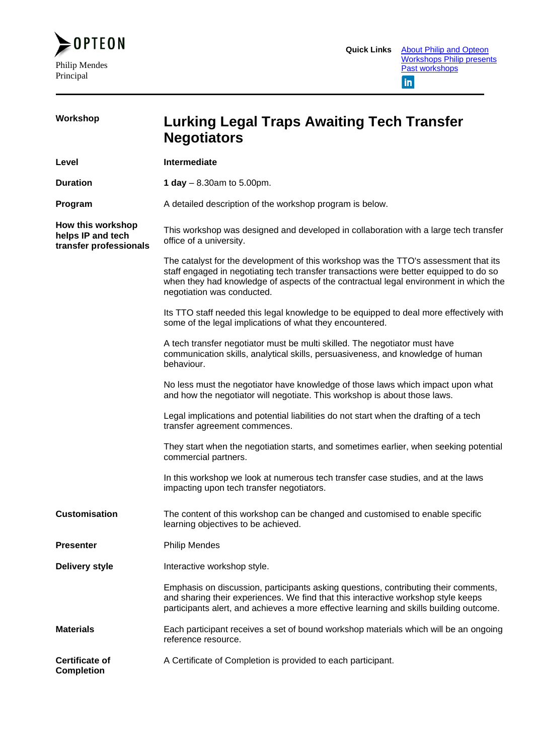

| Workshop                                                         | Lurking Legal Traps Awaiting Tech Transfer<br><b>Negotiators</b>                                                                                                                                                                                                                                   |
|------------------------------------------------------------------|----------------------------------------------------------------------------------------------------------------------------------------------------------------------------------------------------------------------------------------------------------------------------------------------------|
| Level                                                            | Intermediate                                                                                                                                                                                                                                                                                       |
| <b>Duration</b>                                                  | 1 day $-8.30$ am to 5.00pm.                                                                                                                                                                                                                                                                        |
| Program                                                          | A detailed description of the workshop program is below.                                                                                                                                                                                                                                           |
| How this workshop<br>helps IP and tech<br>transfer professionals | This workshop was designed and developed in collaboration with a large tech transfer<br>office of a university.                                                                                                                                                                                    |
|                                                                  | The catalyst for the development of this workshop was the TTO's assessment that its<br>staff engaged in negotiating tech transfer transactions were better equipped to do so<br>when they had knowledge of aspects of the contractual legal environment in which the<br>negotiation was conducted. |
|                                                                  | Its TTO staff needed this legal knowledge to be equipped to deal more effectively with<br>some of the legal implications of what they encountered.                                                                                                                                                 |
|                                                                  | A tech transfer negotiator must be multi skilled. The negotiator must have<br>communication skills, analytical skills, persuasiveness, and knowledge of human<br>behaviour.                                                                                                                        |
|                                                                  | No less must the negotiator have knowledge of those laws which impact upon what<br>and how the negotiator will negotiate. This workshop is about those laws.                                                                                                                                       |
|                                                                  | Legal implications and potential liabilities do not start when the drafting of a tech<br>transfer agreement commences.                                                                                                                                                                             |
|                                                                  | They start when the negotiation starts, and sometimes earlier, when seeking potential<br>commercial partners.                                                                                                                                                                                      |
|                                                                  | In this workshop we look at numerous tech transfer case studies, and at the laws<br>impacting upon tech transfer negotiators.                                                                                                                                                                      |
| <b>Customisation</b>                                             | The content of this workshop can be changed and customised to enable specific<br>learning objectives to be achieved.                                                                                                                                                                               |
| <b>Presenter</b>                                                 | <b>Philip Mendes</b>                                                                                                                                                                                                                                                                               |
| <b>Delivery style</b>                                            | Interactive workshop style.                                                                                                                                                                                                                                                                        |
|                                                                  | Emphasis on discussion, participants asking questions, contributing their comments,<br>and sharing their experiences. We find that this interactive workshop style keeps<br>participants alert, and achieves a more effective learning and skills building outcome.                                |
| <b>Materials</b>                                                 | Each participant receives a set of bound workshop materials which will be an ongoing<br>reference resource.                                                                                                                                                                                        |
| <b>Certificate of</b><br><b>Completion</b>                       | A Certificate of Completion is provided to each participant.                                                                                                                                                                                                                                       |